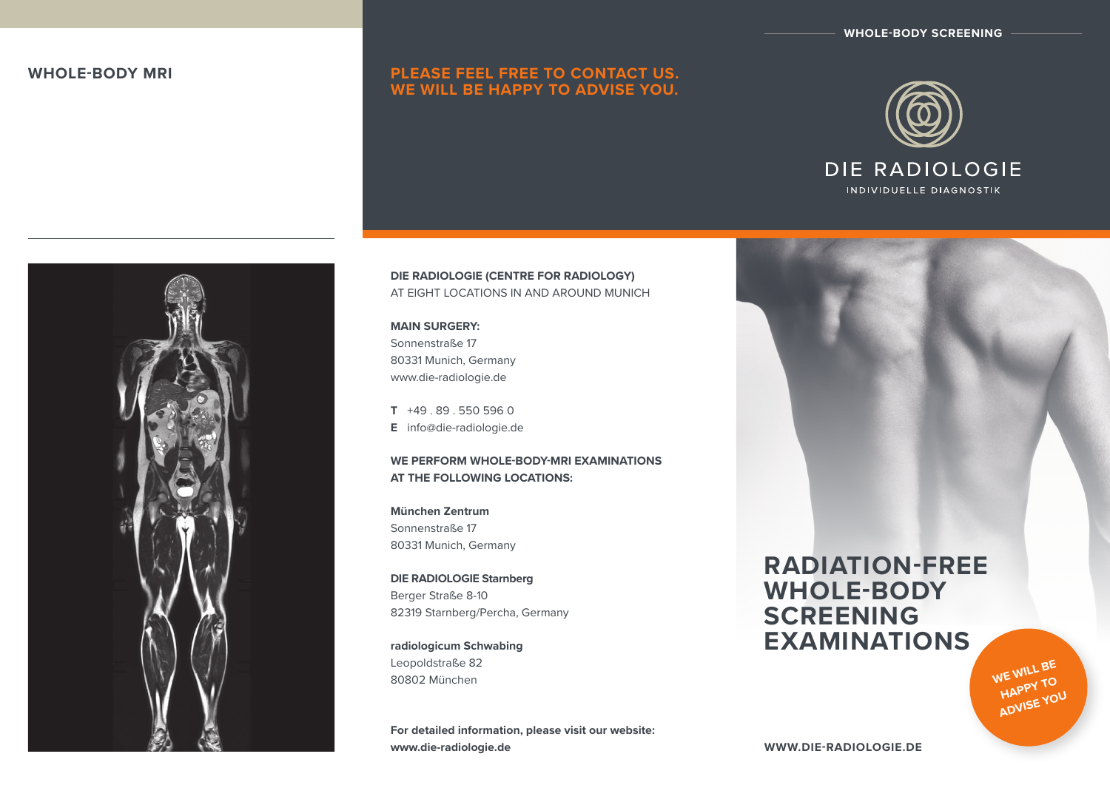**WHOLE-BODY SCREENING**

# **WHOLE-BODY MRI PLEASE FEEL FREE TO CONTACT US. WE WILL BE HAPPY TO ADVISE YOU.**



INDIVIDUELLE DIAGNOSTIK



**DIE RADIOLOGIE (CENTRE FOR RADIOLOGY)** AT EIGHT LOCATIONS IN AND AROUND MUNICH

#### **MAIN SURGERY:**  Sonnenstraße 17

80331 Munich, Germany www.die-radiologie.de

**T** +49 . 89 . 550 596 0 **E** info@die-radiologie.de

## **WE PERFORM whole-body-mri examinations AT THE FOLLOWING LOCATIONS:**

**München Zentrum** Sonnenstraße 17 80331 Munich, Germany

**DIE RADIOLOGIE Starnberg** Berger Straße 8-10 82319 Starnberg/Percha, Germany

**radiologicum Schwabing** Leopoldstraße 82 80802 München

**For detailed information, please visit our website: www.die-radiologie.de**

# **RADIATION-FREE WHOLE-BODY SCREENING EXAMINATIONS**

**WE WILL BE HAPPY TO ADVISE YOU**

**www.die-radiologie.de**